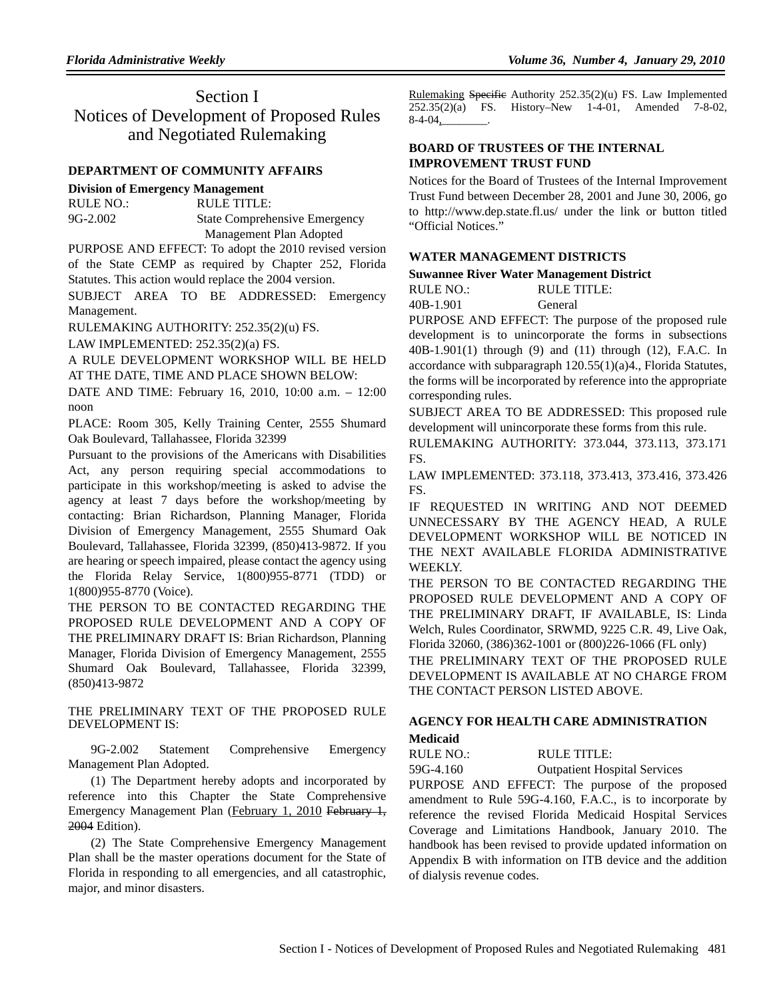# Section I Notices of Development of Proposed Rules and Negotiated Rulemaking

## **DEPARTMENT OF COMMUNITY AFFAIRS**

# **Division of Emergency Management**

| RULE NO.:  | RULE TITLE:                          |
|------------|--------------------------------------|
| $9G-2.002$ | <b>State Comprehensive Emergency</b> |
|            | Management Plan Adopted              |

PURPOSE AND EFFECT: To adopt the 2010 revised version of the State CEMP as required by Chapter 252, Florida Statutes. This action would replace the 2004 version.

SUBJECT AREA TO BE ADDRESSED: Emergency Management.

RULEMAKING AUTHORITY: 252.35(2)(u) FS.

LAW IMPLEMENTED: 252.35(2)(a) FS.

A RULE DEVELOPMENT WORKSHOP WILL BE HELD AT THE DATE, TIME AND PLACE SHOWN BELOW:

DATE AND TIME: February 16, 2010, 10:00 a.m. – 12:00 noon

PLACE: Room 305, Kelly Training Center, 2555 Shumard Oak Boulevard, Tallahassee, Florida 32399

Pursuant to the provisions of the Americans with Disabilities Act, any person requiring special accommodations to participate in this workshop/meeting is asked to advise the agency at least 7 days before the workshop/meeting by contacting: Brian Richardson, Planning Manager, Florida Division of Emergency Management, 2555 Shumard Oak Boulevard, Tallahassee, Florida 32399, (850)413-9872. If you are hearing or speech impaired, please contact the agency using the Florida Relay Service, 1(800)955-8771 (TDD) or 1(800)955-8770 (Voice).

THE PERSON TO BE CONTACTED REGARDING THE PROPOSED RULE DEVELOPMENT AND A COPY OF THE PRELIMINARY DRAFT IS: Brian Richardson, Planning Manager, Florida Division of Emergency Management, 2555 Shumard Oak Boulevard, Tallahassee, Florida 32399, (850)413-9872

THE PRELIMINARY TEXT OF THE PROPOSED RULE DEVELOPMENT IS:

9G-2.002 Statement Comprehensive Emergency Management Plan Adopted.

(1) The Department hereby adopts and incorporated by reference into this Chapter the State Comprehensive Emergency Management Plan (February 1, 2010 February 1, 2004 Edition).

(2) The State Comprehensive Emergency Management Plan shall be the master operations document for the State of Florida in responding to all emergencies, and all catastrophic, major, and minor disasters.

Rulemaking Specific Authority 252.35(2)(u) FS. Law Implemented 252.35(2)(a) FS. History–New 1-4-01, Amended 7-8-02,  $8-4-04$ ,

# **BOARD OF TRUSTEES OF THE INTERNAL IMPROVEMENT TRUST FUND**

Notices for the Board of Trustees of the Internal Improvement Trust Fund between December 28, 2001 and June 30, 2006, go to http://www.dep.state.fl.us/ under the link or button titled "Official Notices."

## **WATER MANAGEMENT DISTRICTS**

### **Suwannee River Water Management District**

| RULE NO.: | RULE TITLE: |
|-----------|-------------|
| 40B-1.901 | General     |

PURPOSE AND EFFECT: The purpose of the proposed rule development is to unincorporate the forms in subsections 40B-1.901(1) through (9) and (11) through (12), F.A.C. In accordance with subparagraph 120.55(1)(a)4., Florida Statutes, the forms will be incorporated by reference into the appropriate corresponding rules.

SUBJECT AREA TO BE ADDRESSED: This proposed rule development will unincorporate these forms from this rule.

RULEMAKING AUTHORITY: 373.044, 373.113, 373.171 FS.

LAW IMPLEMENTED: 373.118, 373.413, 373.416, 373.426 FS.

IF REQUESTED IN WRITING AND NOT DEEMED UNNECESSARY BY THE AGENCY HEAD, A RULE DEVELOPMENT WORKSHOP WILL BE NOTICED IN THE NEXT AVAILABLE FLORIDA ADMINISTRATIVE WEEKLY.

THE PERSON TO BE CONTACTED REGARDING THE PROPOSED RULE DEVELOPMENT AND A COPY OF THE PRELIMINARY DRAFT, IF AVAILABLE, IS: Linda Welch, Rules Coordinator, SRWMD, 9225 C.R. 49, Live Oak, Florida 32060, (386)362-1001 or (800)226-1066 (FL only)

THE PRELIMINARY TEXT OF THE PROPOSED RULE DEVELOPMENT IS AVAILABLE AT NO CHARGE FROM THE CONTACT PERSON LISTED ABOVE.

# **AGENCY FOR HEALTH CARE ADMINISTRATION**

## **Medicaid**

RULE NO.: RULE TITLE:

59G-4.160 Outpatient Hospital Services

PURPOSE AND EFFECT: The purpose of the proposed amendment to Rule 59G-4.160, F.A.C., is to incorporate by reference the revised Florida Medicaid Hospital Services Coverage and Limitations Handbook, January 2010. The handbook has been revised to provide updated information on Appendix B with information on ITB device and the addition of dialysis revenue codes.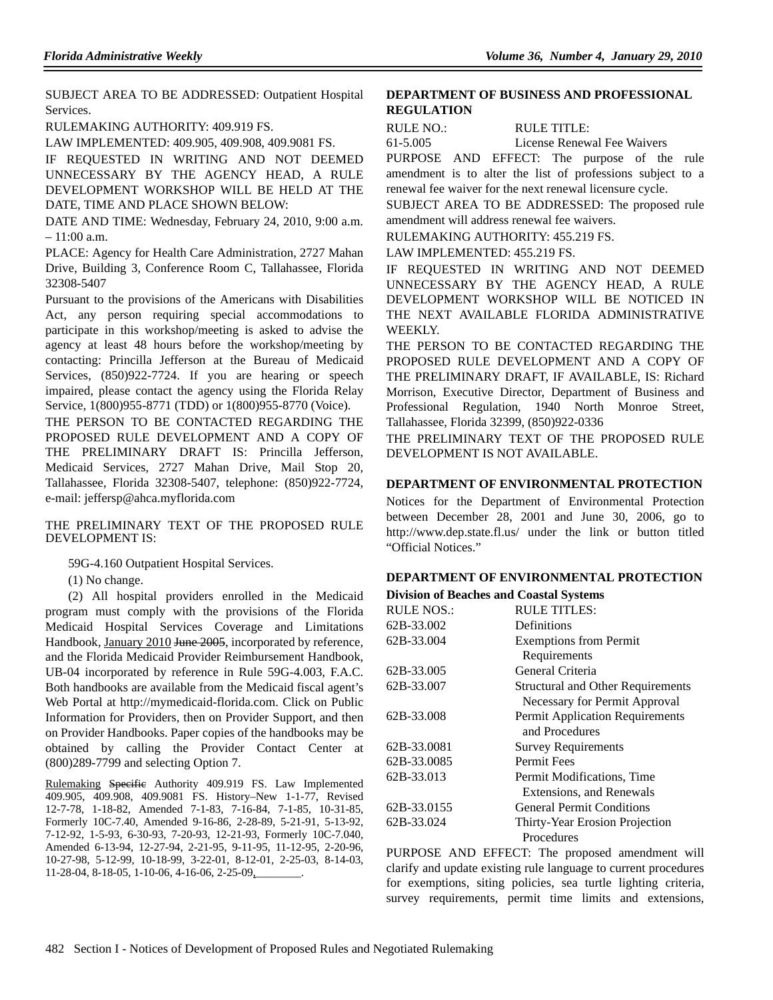SUBJECT AREA TO BE ADDRESSED: Outpatient Hospital Services.

RULEMAKING AUTHORITY: 409.919 FS.

LAW IMPLEMENTED: 409.905, 409.908, 409.9081 FS.

IF REQUESTED IN WRITING AND NOT DEEMED UNNECESSARY BY THE AGENCY HEAD, A RULE DEVELOPMENT WORKSHOP WILL BE HELD AT THE DATE, TIME AND PLACE SHOWN BELOW:

DATE AND TIME: Wednesday, February 24, 2010, 9:00 a.m.  $-11:00$  a.m.

PLACE: Agency for Health Care Administration, 2727 Mahan Drive, Building 3, Conference Room C, Tallahassee, Florida 32308-5407

Pursuant to the provisions of the Americans with Disabilities Act, any person requiring special accommodations to participate in this workshop/meeting is asked to advise the agency at least 48 hours before the workshop/meeting by contacting: Princilla Jefferson at the Bureau of Medicaid Services, (850)922-7724. If you are hearing or speech impaired, please contact the agency using the Florida Relay Service, 1(800)955-8771 (TDD) or 1(800)955-8770 (Voice).

THE PERSON TO BE CONTACTED REGARDING THE PROPOSED RULE DEVELOPMENT AND A COPY OF THE PRELIMINARY DRAFT IS: Princilla Jefferson, Medicaid Services, 2727 Mahan Drive, Mail Stop 20, Tallahassee, Florida 32308-5407, telephone: (850)922-7724, e-mail: jeffersp@ahca.myflorida.com

THE PRELIMINARY TEXT OF THE PROPOSED RULE DEVELOPMENT IS:

59G-4.160 Outpatient Hospital Services.

(1) No change.

(2) All hospital providers enrolled in the Medicaid program must comply with the provisions of the Florida Medicaid Hospital Services Coverage and Limitations Handbook, January 2010 June 2005, incorporated by reference, and the Florida Medicaid Provider Reimbursement Handbook, UB-04 incorporated by reference in Rule 59G-4.003, F.A.C. Both handbooks are available from the Medicaid fiscal agent's Web Portal at http://mymedicaid-florida.com. Click on Public Information for Providers, then on Provider Support, and then on Provider Handbooks. Paper copies of the handbooks may be obtained by calling the Provider Contact Center at (800)289-7799 and selecting Option 7.

Rulemaking Specific Authority 409.919 FS. Law Implemented 409.905, 409.908, 409.9081 FS. History–New 1-1-77, Revised 12-7-78, 1-18-82, Amended 7-1-83, 7-16-84, 7-1-85, 10-31-85, Formerly 10C-7.40, Amended 9-16-86, 2-28-89, 5-21-91, 5-13-92, 7-12-92, 1-5-93, 6-30-93, 7-20-93, 12-21-93, Formerly 10C-7.040, Amended 6-13-94, 12-27-94, 2-21-95, 9-11-95, 11-12-95, 2-20-96, 10-27-98, 5-12-99, 10-18-99, 3-22-01, 8-12-01, 2-25-03, 8-14-03, 11-28-04, 8-18-05, 1-10-06, 4-16-06, 2-25-09,

### **DEPARTMENT OF BUSINESS AND PROFESSIONAL REGULATION**

RULE NO.: RULE TITLE:

61-5.005 License Renewal Fee Waivers

PURPOSE AND EFFECT: The purpose of the rule amendment is to alter the list of professions subject to a renewal fee waiver for the next renewal licensure cycle.

SUBJECT AREA TO BE ADDRESSED: The proposed rule amendment will address renewal fee waivers.

RULEMAKING AUTHORITY: 455.219 FS.

LAW IMPLEMENTED: 455.219 FS.

IF REQUESTED IN WRITING AND NOT DEEMED UNNECESSARY BY THE AGENCY HEAD, A RULE DEVELOPMENT WORKSHOP WILL BE NOTICED IN THE NEXT AVAILABLE FLORIDA ADMINISTRATIVE WEEKLY.

THE PERSON TO BE CONTACTED REGARDING THE PROPOSED RULE DEVELOPMENT AND A COPY OF THE PRELIMINARY DRAFT, IF AVAILABLE, IS: Richard Morrison, Executive Director, Department of Business and Professional Regulation, 1940 North Monroe Street, Tallahassee, Florida 32399, (850)922-0336

THE PRELIMINARY TEXT OF THE PROPOSED RULE DEVELOPMENT IS NOT AVAILABLE.

### **DEPARTMENT OF ENVIRONMENTAL PROTECTION**

Notices for the Department of Environmental Protection between December 28, 2001 and June 30, 2006, go to http://www.dep.state.fl.us/ under the link or button titled "Official Notices."

#### **DEPARTMENT OF ENVIRONMENTAL PROTECTION**

**Division of Beaches and Coastal Systems**

| <b>RULE NOS.:</b> | <b>RULE TITLES:</b>                      |  |
|-------------------|------------------------------------------|--|
| 62B-33.002        | Definitions                              |  |
| 62B-33.004        | <b>Exemptions from Permit</b>            |  |
|                   | Requirements                             |  |
| 62B-33.005        | General Criteria                         |  |
| 62B-33.007        | <b>Structural and Other Requirements</b> |  |
|                   | Necessary for Permit Approval            |  |
| 62B-33.008        | <b>Permit Application Requirements</b>   |  |
|                   | and Procedures                           |  |
| 62B-33.0081       | <b>Survey Requirements</b>               |  |
| 62B-33.0085       | <b>Permit Fees</b>                       |  |
| 62B-33.013        | Permit Modifications, Time               |  |
|                   | Extensions, and Renewals                 |  |
| 62B-33.0155       | <b>General Permit Conditions</b>         |  |
| 62B-33.024        | Thirty-Year Erosion Projection           |  |
|                   | Procedures                               |  |
|                   |                                          |  |

PURPOSE AND EFFECT: The proposed amendment will clarify and update existing rule language to current procedures for exemptions, siting policies, sea turtle lighting criteria, survey requirements, permit time limits and extensions,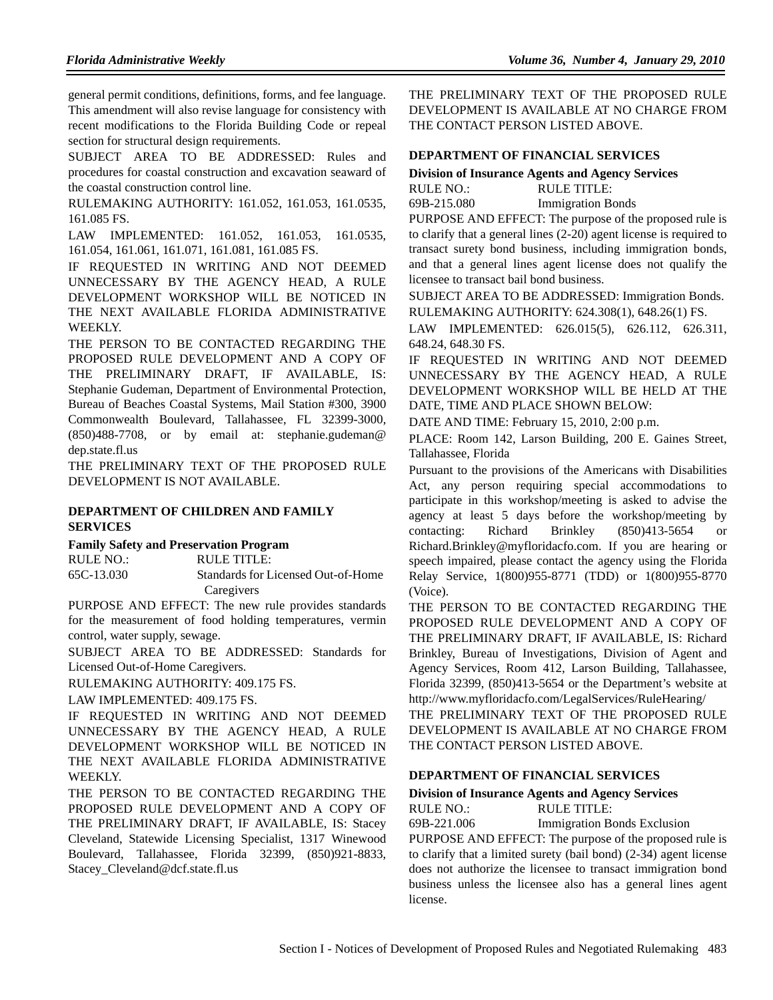general permit conditions, definitions, forms, and fee language. This amendment will also revise language for consistency with recent modifications to the Florida Building Code or repeal section for structural design requirements.

SUBJECT AREA TO BE ADDRESSED: Rules and procedures for coastal construction and excavation seaward of the coastal construction control line.

RULEMAKING AUTHORITY: 161.052, 161.053, 161.0535, 161.085 FS.

LAW IMPLEMENTED: 161.052, 161.053, 161.0535, 161.054, 161.061, 161.071, 161.081, 161.085 FS.

IF REQUESTED IN WRITING AND NOT DEEMED UNNECESSARY BY THE AGENCY HEAD, A RULE DEVELOPMENT WORKSHOP WILL BE NOTICED IN THE NEXT AVAILABLE FLORIDA ADMINISTRATIVE WEEKLY.

THE PERSON TO BE CONTACTED REGARDING THE PROPOSED RULE DEVELOPMENT AND A COPY OF THE PRELIMINARY DRAFT, IF AVAILABLE, IS: Stephanie Gudeman, Department of Environmental Protection, Bureau of Beaches Coastal Systems, Mail Station #300, 3900 Commonwealth Boulevard, Tallahassee, FL 32399-3000, (850)488-7708, or by email at: stephanie.gudeman@ dep.state.fl.us

THE PRELIMINARY TEXT OF THE PROPOSED RULE DEVELOPMENT IS NOT AVAILABLE.

## **DEPARTMENT OF CHILDREN AND FAMILY SERVICES**

#### **Family Safety and Preservation Program**

RULE NO.: RULE TITLE: 65C-13.030 Standards for Licensed Out-of-Home Caregivers

PURPOSE AND EFFECT: The new rule provides standards for the measurement of food holding temperatures, vermin control, water supply, sewage.

SUBJECT AREA TO BE ADDRESSED: Standards for Licensed Out-of-Home Caregivers.

RULEMAKING AUTHORITY: 409.175 FS.

LAW IMPLEMENTED: 409.175 FS.

IF REQUESTED IN WRITING AND NOT DEEMED UNNECESSARY BY THE AGENCY HEAD, A RULE DEVELOPMENT WORKSHOP WILL BE NOTICED IN THE NEXT AVAILABLE FLORIDA ADMINISTRATIVE WEEKLY.

THE PERSON TO BE CONTACTED REGARDING THE PROPOSED RULE DEVELOPMENT AND A COPY OF THE PRELIMINARY DRAFT, IF AVAILABLE, IS: Stacey Cleveland, Statewide Licensing Specialist, 1317 Winewood Boulevard, Tallahassee, Florida 32399, (850)921-8833, Stacey\_Cleveland@dcf.state.fl.us

THE PRELIMINARY TEXT OF THE PROPOSED RULE DEVELOPMENT IS AVAILABLE AT NO CHARGE FROM THE CONTACT PERSON LISTED ABOVE.

#### **DEPARTMENT OF FINANCIAL SERVICES**

**Division of Insurance Agents and Agency Services**

| RULE NO.:   | RULE TITLE:              |
|-------------|--------------------------|
| 69B-215.080 | <b>Immigration Bonds</b> |

PURPOSE AND EFFECT: The purpose of the proposed rule is to clarify that a general lines (2-20) agent license is required to transact surety bond business, including immigration bonds, and that a general lines agent license does not qualify the licensee to transact bail bond business.

SUBJECT AREA TO BE ADDRESSED: Immigration Bonds. RULEMAKING AUTHORITY: 624.308(1), 648.26(1) FS.

LAW IMPLEMENTED: 626.015(5), 626.112, 626.311, 648.24, 648.30 FS.

IF REQUESTED IN WRITING AND NOT DEEMED UNNECESSARY BY THE AGENCY HEAD, A RULE DEVELOPMENT WORKSHOP WILL BE HELD AT THE DATE, TIME AND PLACE SHOWN BELOW:

DATE AND TIME: February 15, 2010, 2:00 p.m.

PLACE: Room 142, Larson Building, 200 E. Gaines Street, Tallahassee, Florida

Pursuant to the provisions of the Americans with Disabilities Act, any person requiring special accommodations to participate in this workshop/meeting is asked to advise the agency at least 5 days before the workshop/meeting by contacting: Richard Brinkley (850)413-5654 or Richard.Brinkley@myfloridacfo.com. If you are hearing or speech impaired, please contact the agency using the Florida Relay Service, 1(800)955-8771 (TDD) or 1(800)955-8770 (Voice).

THE PERSON TO BE CONTACTED REGARDING THE PROPOSED RULE DEVELOPMENT AND A COPY OF THE PRELIMINARY DRAFT, IF AVAILABLE, IS: Richard Brinkley, Bureau of Investigations, Division of Agent and Agency Services, Room 412, Larson Building, Tallahassee, Florida 32399, (850)413-5654 or the Department's website at http://www.myfloridacfo.com/LegalServices/RuleHearing/

THE PRELIMINARY TEXT OF THE PROPOSED RULE DEVELOPMENT IS AVAILABLE AT NO CHARGE FROM THE CONTACT PERSON LISTED ABOVE.

#### **DEPARTMENT OF FINANCIAL SERVICES**

### **Division of Insurance Agents and Agency Services** RULE NO.: RULE TITLE:

69B-221.006 Immigration Bonds Exclusion PURPOSE AND EFFECT: The purpose of the proposed rule is to clarify that a limited surety (bail bond) (2-34) agent license does not authorize the licensee to transact immigration bond business unless the licensee also has a general lines agent license.